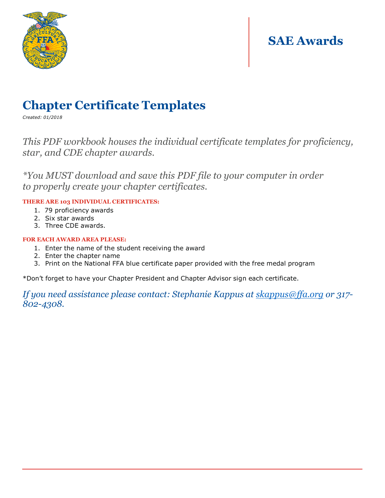

### **SAE Awards**

### **Chapter Certificate Templates**

*Created: 01/2018*

### *This PDF workbook houses the individual certificate templates for proficiency, star, and CDE chapter awards.*

*\*You MUST download and save this PDF file to your computer in order to properly create your chapter certificates.*

#### **THERE ARE 103 INDIVIDUAL CERTIFICATES:**

- 1. 79 proficiency awards
- 2. Six star awards
- 3. Three CDE awards.

#### **FOR EACH AWARD AREA PLEASE:**

- 1. Enter the name of the student receiving the award
- 2. Enter the chapter name
- 3. Print on the National FFA blue certificate paper provided with the free medal program

\*Don't forget to have your Chapter President and Chapter Advisor sign each certificate.

*If you need assistance please contact: Stephanie Kappus at [skappus@ffa.org](mailto:skappus@ffa.org) or 317- 802-4308.*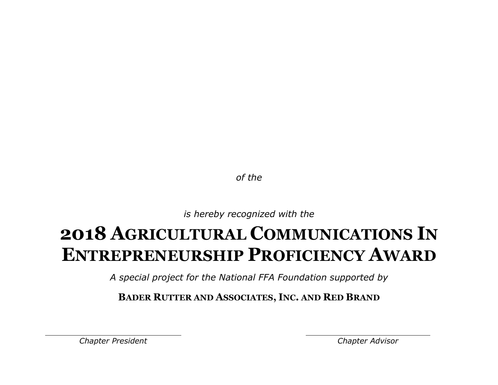*is hereby recognized with the*

### **2018 AGRICULTURAL COMMUNICATIONS IN ENTREPRENEURSHIP PROFICIENCY AWARD**

*A special project for the National FFA Foundation supported by*

**BADER RUTTER AND ASSOCIATES, INC. AND RED BRAND**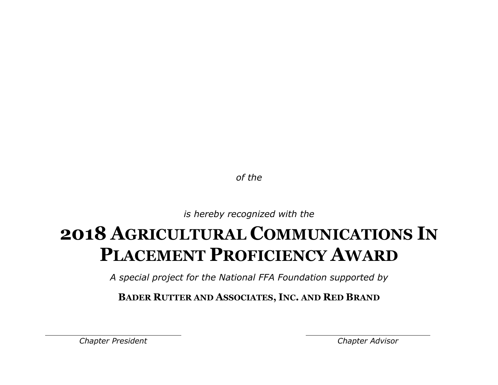*is hereby recognized with the*

## **2018 AGRICULTURAL COMMUNICATIONS IN PLACEMENT PROFICIENCY AWARD**

*A special project for the National FFA Foundation supported by*

**BADER RUTTER AND ASSOCIATES, INC. AND RED BRAND**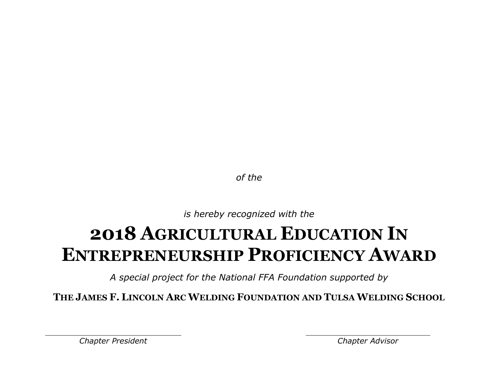*is hereby recognized with the*

### **2018 AGRICULTURAL EDUCATION IN ENTREPRENEURSHIP PROFICIENCY AWARD**

*A special project for the National FFA Foundation supported by*

**THE JAMES F. LINCOLN ARC WELDING FOUNDATION AND TULSA WELDING SCHOOL**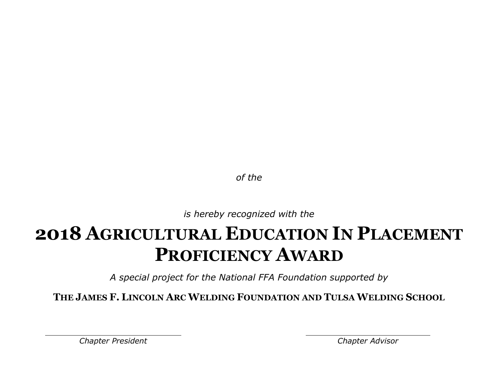*is hereby recognized with the*

## **2018 AGRICULTURAL EDUCATION IN PLACEMENT PROFICIENCY AWARD**

*A special project for the National FFA Foundation supported by*

**THE JAMES F. LINCOLN ARC WELDING FOUNDATION AND TULSA WELDING SCHOOL**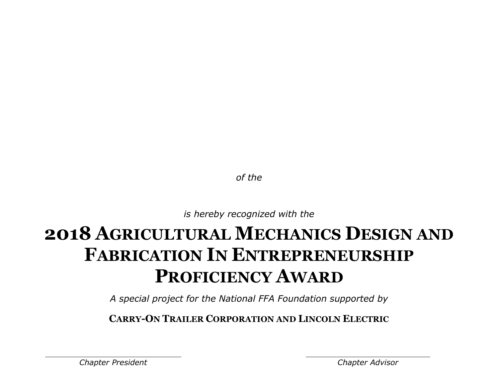*is hereby recognized with the*

# **2018 AGRICULTURAL MECHANICS DESIGN AND FABRICATION IN ENTREPRENEURSHIP PROFICIENCY AWARD**

*A special project for the National FFA Foundation supported by*

**CARRY-ON TRAILER CORPORATION AND LINCOLN ELECTRIC**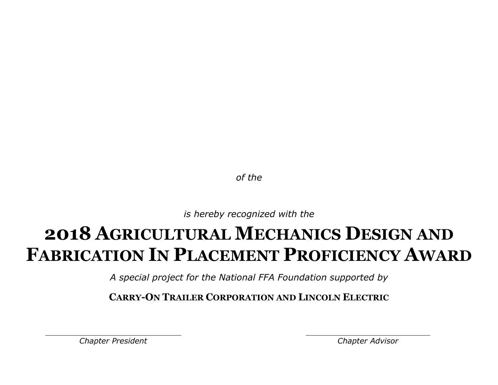*is hereby recognized with the*

## **2018 AGRICULTURAL MECHANICS DESIGN AND FABRICATION IN PLACEMENT PROFICIENCY AWARD**

*A special project for the National FFA Foundation supported by*

**CARRY-ON TRAILER CORPORATION AND LINCOLN ELECTRIC**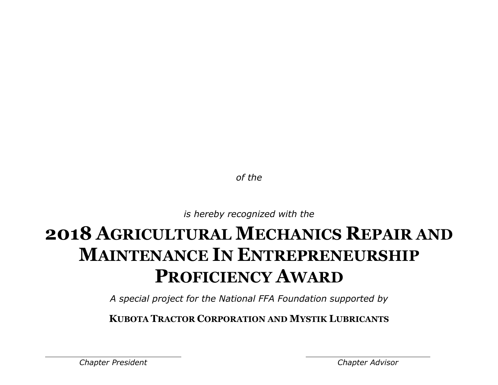*is hereby recognized with the*

## **2018 AGRICULTURAL MECHANICS REPAIR AND MAINTENANCE IN ENTREPRENEURSHIP PROFICIENCY AWARD**

*A special project for the National FFA Foundation supported by*

**KUBOTA TRACTOR CORPORATION AND MYSTIK LUBRICANTS**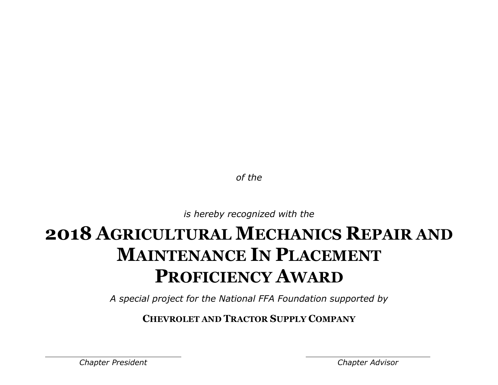*is hereby recognized with the*

# **2018 AGRICULTURAL MECHANICS REPAIR AND MAINTENANCE IN PLACEMENT PROFICIENCY AWARD**

*A special project for the National FFA Foundation supported by*

**CHEVROLET AND TRACTOR SUPPLY COMPANY**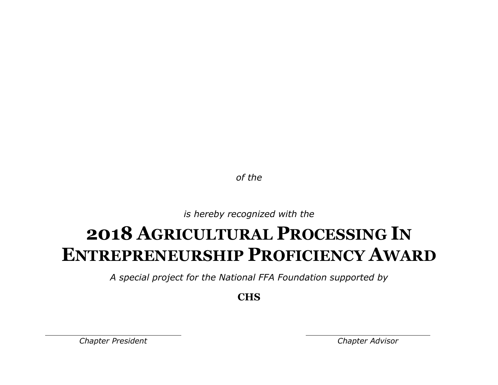*is hereby recognized with the*

### **2018 AGRICULTURAL PROCESSING IN ENTREPRENEURSHIP PROFICIENCY AWARD**

*A special project for the National FFA Foundation supported by*

**CHS**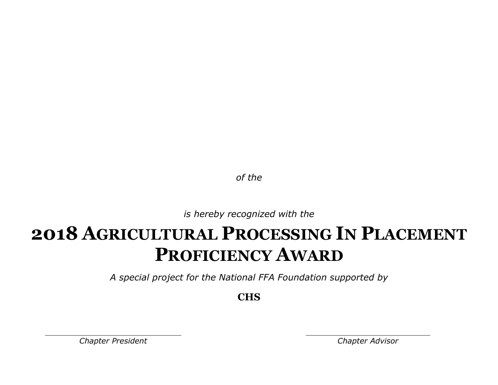*is hereby recognized with the*

### **2018 AGRICULTURAL PROCESSING IN PLACEMENT PROFICIENCY AWARD**

*A special project for the National FFA Foundation supported by*

**CHS**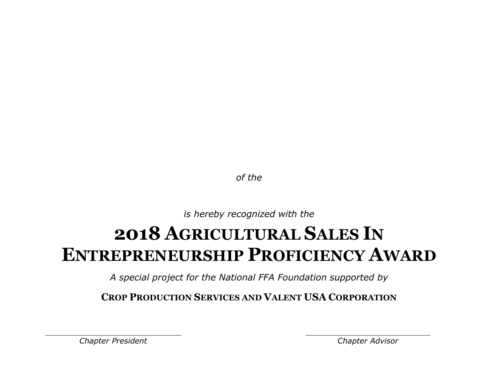*is hereby recognized with the*

### **2018 AGRICULTURAL SALES IN ENTREPRENEURSHIP PROFICIENCY AWARD**

*A special project for the National FFA Foundation supported by*

**CROP PRODUCTION SERVICES AND VALENT USA CORPORATION**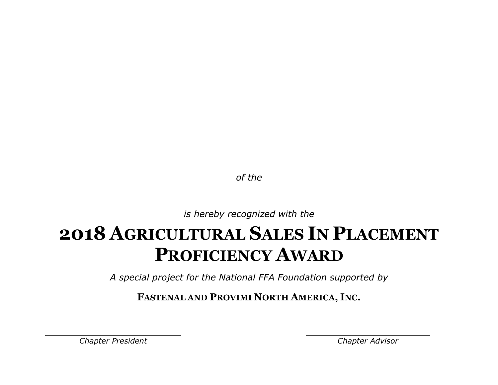*is hereby recognized with the*

## **2018 AGRICULTURAL SALES IN PLACEMENT PROFICIENCY AWARD**

*A special project for the National FFA Foundation supported by*

**FASTENAL AND PROVIMI NORTH AMERICA, INC.**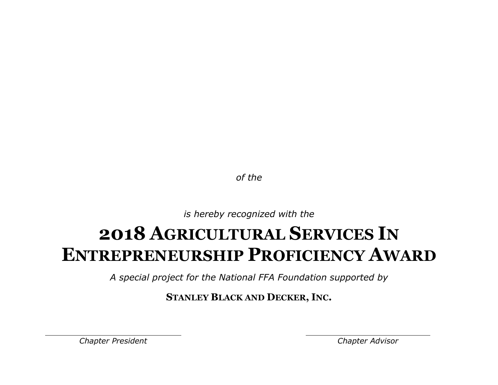*is hereby recognized with the*

### **2018 AGRICULTURAL SERVICES IN ENTREPRENEURSHIP PROFICIENCY AWARD**

*A special project for the National FFA Foundation supported by*

**STANLEY BLACK AND DECKER, INC.**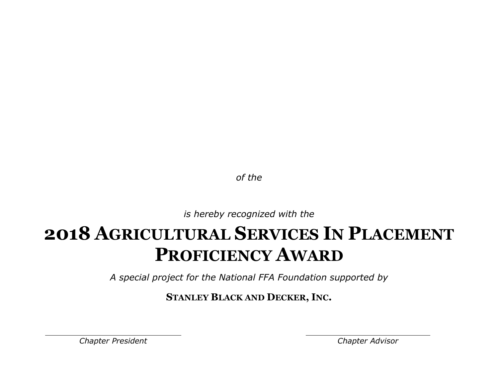*is hereby recognized with the*

## **2018 AGRICULTURAL SERVICES IN PLACEMENT PROFICIENCY AWARD**

*A special project for the National FFA Foundation supported by*

**STANLEY BLACK AND DECKER, INC.**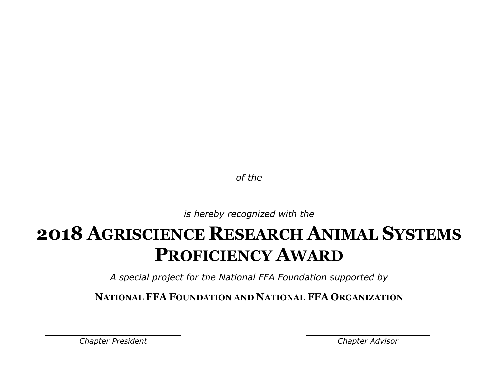*is hereby recognized with the*

### **2018 AGRISCIENCE RESEARCH ANIMAL SYSTEMS PROFICIENCY AWARD**

*A special project for the National FFA Foundation supported by*

**NATIONAL FFA FOUNDATION AND NATIONAL FFA ORGANIZATION**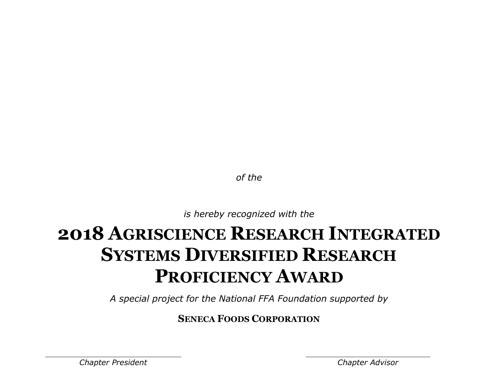*is hereby recognized with the*

## **2018 AGRISCIENCE RESEARCH INTEGRATED SYSTEMS DIVERSIFIED RESEARCH PROFICIENCY AWARD**

*A special project for the National FFA Foundation supported by*

**SENECA FOODS CORPORATION**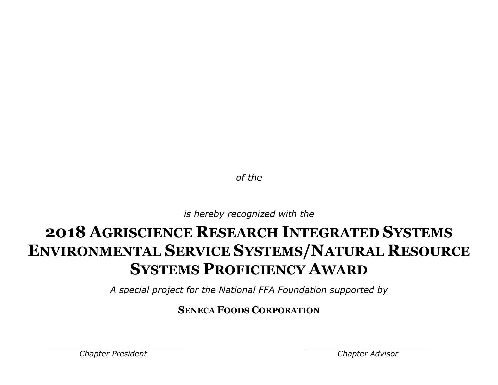*is hereby recognized with the*

### **2018 AGRISCIENCE RESEARCH INTEGRATED SYSTEMS ENVIRONMENTAL SERVICE SYSTEMS/NATURAL RESOURCE SYSTEMS PROFICIENCY AWARD**

*A special project for the National FFA Foundation supported by*

### **SENECA FOODS CORPORATION**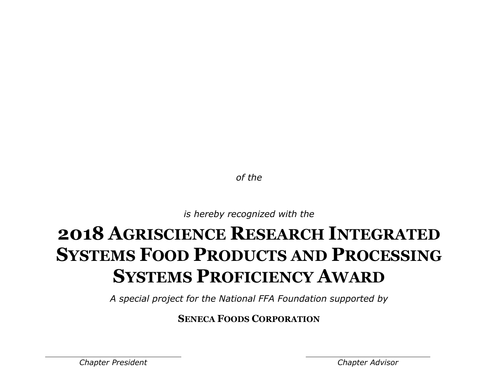*is hereby recognized with the*

# **2018 AGRISCIENCE RESEARCH INTEGRATED SYSTEMS FOOD PRODUCTS AND PROCESSING SYSTEMS PROFICIENCY AWARD**

*A special project for the National FFA Foundation supported by*

**SENECA FOODS CORPORATION**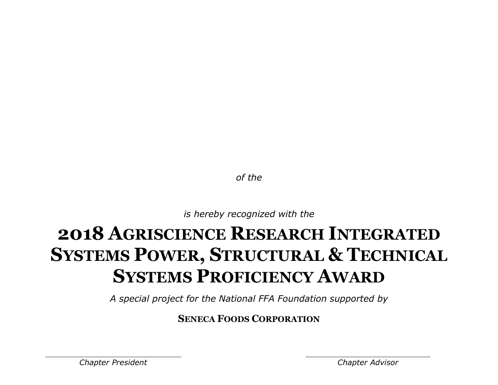*is hereby recognized with the*

# **2018 AGRISCIENCE RESEARCH INTEGRATED SYSTEMS POWER, STRUCTURAL & TECHNICAL SYSTEMS PROFICIENCY AWARD**

*A special project for the National FFA Foundation supported by*

**SENECA FOODS CORPORATION**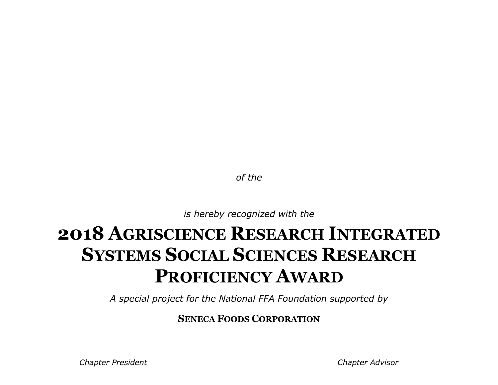*is hereby recognized with the*

# **2018 AGRISCIENCE RESEARCH INTEGRATED SYSTEMS SOCIAL SCIENCES RESEARCH PROFICIENCY AWARD**

*A special project for the National FFA Foundation supported by*

**SENECA FOODS CORPORATION**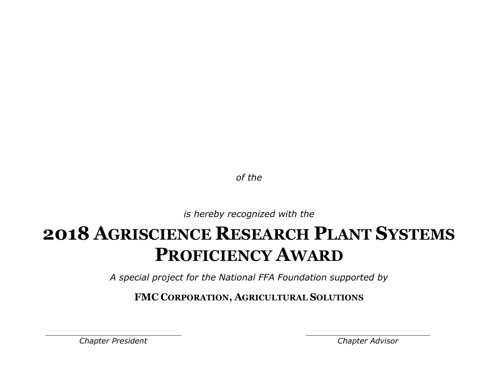*is hereby recognized with the*

### **2018 AGRISCIENCE RESEARCH PLANT SYSTEMS PROFICIENCY AWARD**

*A special project for the National FFA Foundation supported by*

**FMC CORPORATION, AGRICULTURAL SOLUTIONS**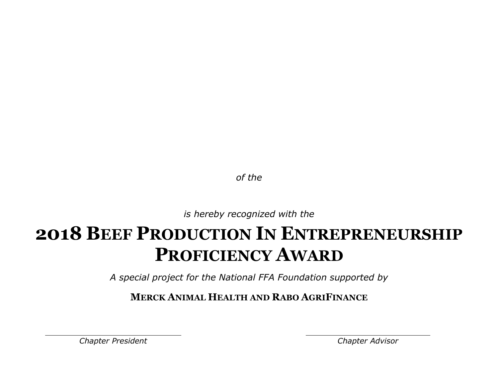*is hereby recognized with the*

### **2018 BEEF PRODUCTION IN ENTREPRENEURSHIP PROFICIENCY AWARD**

*A special project for the National FFA Foundation supported by*

**MERCK ANIMAL HEALTH AND RABO AGRIFINANCE**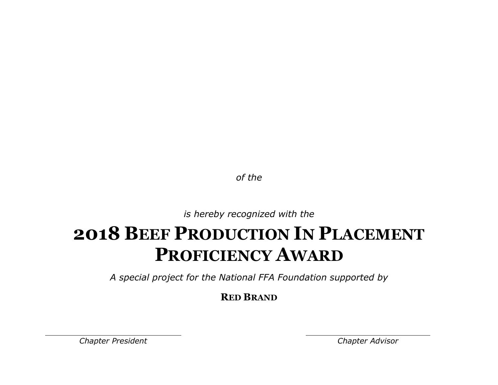*is hereby recognized with the*

### **2018 BEEF PRODUCTION IN PLACEMENT PROFICIENCY AWARD**

*A special project for the National FFA Foundation supported by*

**RED BRAND**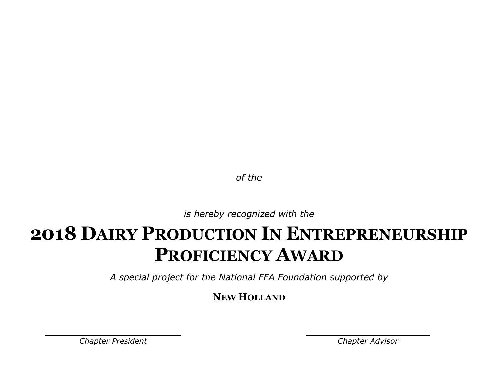*is hereby recognized with the*

### **2018 DAIRY PRODUCTION IN ENTREPRENEURSHIP PROFICIENCY AWARD**

*A special project for the National FFA Foundation supported by*

**NEW HOLLAND**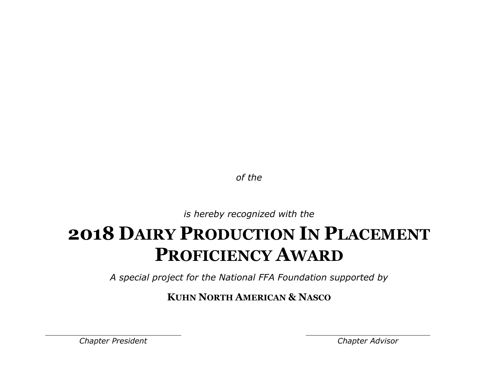*is hereby recognized with the*

# **2018 DAIRY PRODUCTION IN PLACEMENT PROFICIENCY AWARD**

*A special project for the National FFA Foundation supported by*

**KUHN NORTH AMERICAN & NASCO**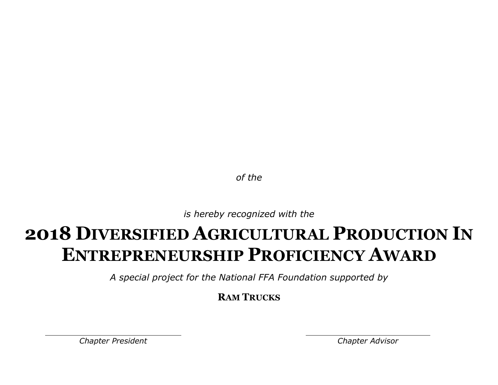*is hereby recognized with the*

### **2018 DIVERSIFIED AGRICULTURAL PRODUCTION IN ENTREPRENEURSHIP PROFICIENCY AWARD**

*A special project for the National FFA Foundation supported by*

**RAM TRUCKS**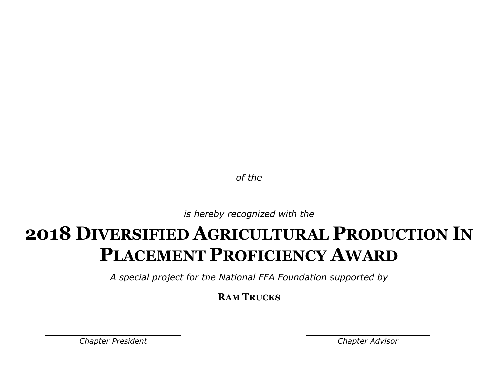*is hereby recognized with the*

### **2018 DIVERSIFIED AGRICULTURAL PRODUCTION IN PLACEMENT PROFICIENCY AWARD**

*A special project for the National FFA Foundation supported by*

**RAM TRUCKS**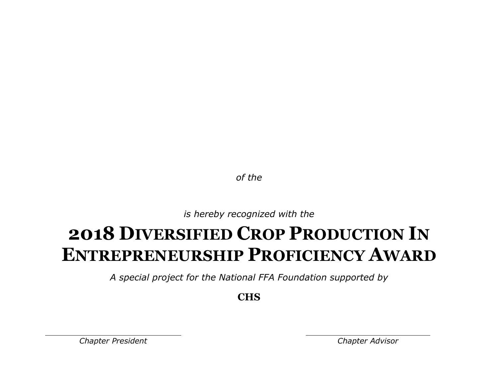*is hereby recognized with the*

## **2018 DIVERSIFIED CROP PRODUCTION IN ENTREPRENEURSHIP PROFICIENCY AWARD**

*A special project for the National FFA Foundation supported by*

**CHS**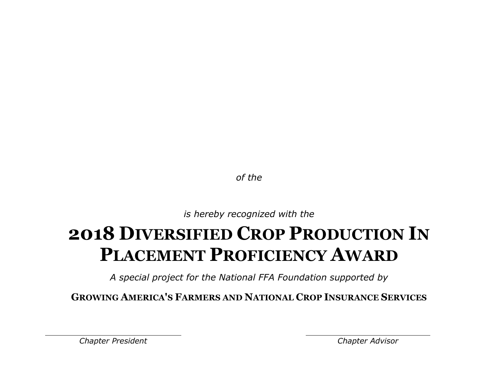*is hereby recognized with the*

# **2018 DIVERSIFIED CROP PRODUCTION IN PLACEMENT PROFICIENCY AWARD**

*A special project for the National FFA Foundation supported by*

**GROWING AMERICA'S FARMERS AND NATIONAL CROP INSURANCE SERVICES**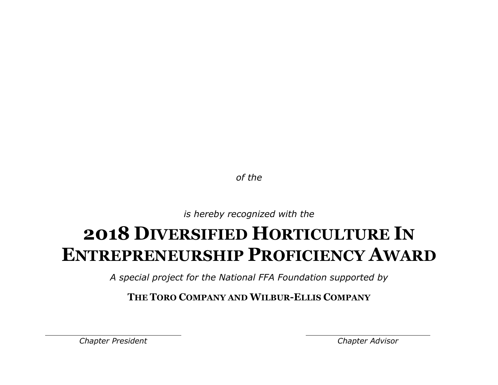*is hereby recognized with the*

### **2018 DIVERSIFIED HORTICULTURE IN ENTREPRENEURSHIP PROFICIENCY AWARD**

*A special project for the National FFA Foundation supported by*

**THE TORO COMPANY AND WILBUR-ELLIS COMPANY**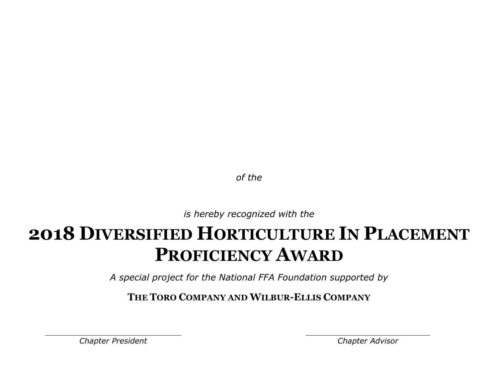*is hereby recognized with the*

## **2018 DIVERSIFIED HORTICULTURE IN PLACEMENT PROFICIENCY AWARD**

*A special project for the National FFA Foundation supported by*

**THE TORO COMPANY AND WILBUR-ELLIS COMPANY**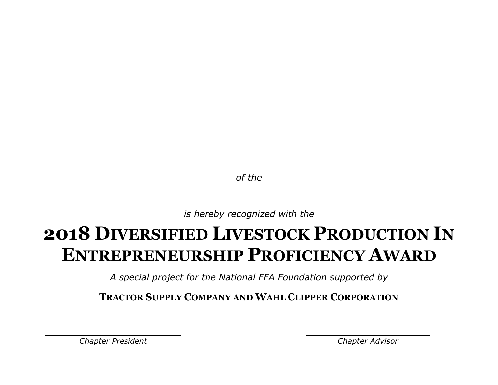*is hereby recognized with the*

## **2018 DIVERSIFIED LIVESTOCK PRODUCTION IN ENTREPRENEURSHIP PROFICIENCY AWARD**

*A special project for the National FFA Foundation supported by*

**TRACTOR SUPPLY COMPANY AND WAHL CLIPPER CORPORATION**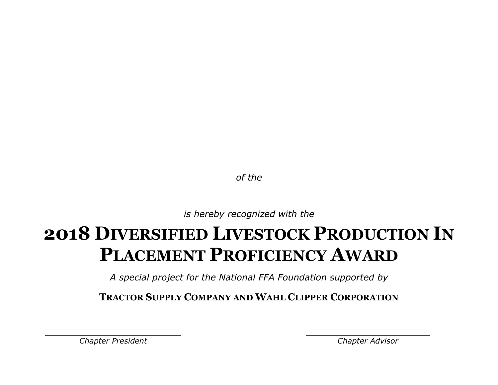*is hereby recognized with the*

# **2018 DIVERSIFIED LIVESTOCK PRODUCTION IN PLACEMENT PROFICIENCY AWARD**

*A special project for the National FFA Foundation supported by*

**TRACTOR SUPPLY COMPANY AND WAHL CLIPPER CORPORATION**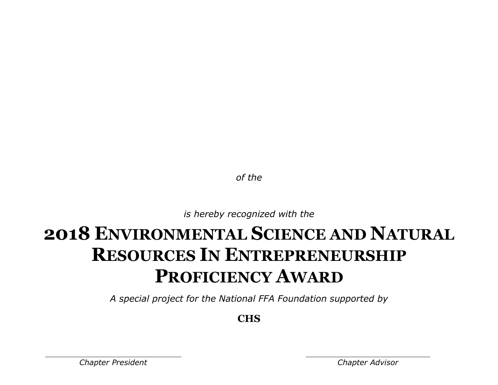*is hereby recognized with the*

## **2018 ENVIRONMENTAL SCIENCE AND NATURAL RESOURCES IN ENTREPRENEURSHIP PROFICIENCY AWARD**

*A special project for the National FFA Foundation supported by*

**CHS**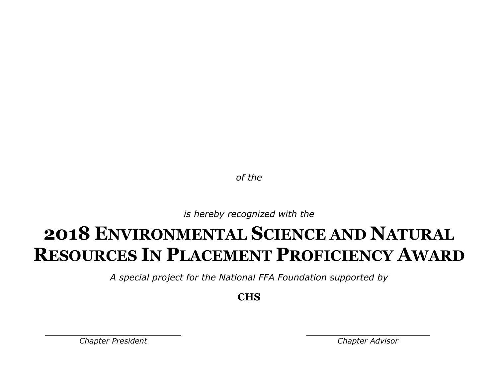*is hereby recognized with the*

### **2018 ENVIRONMENTAL SCIENCE AND NATURAL RESOURCES IN PLACEMENT PROFICIENCY AWARD**

*A special project for the National FFA Foundation supported by*

**CHS**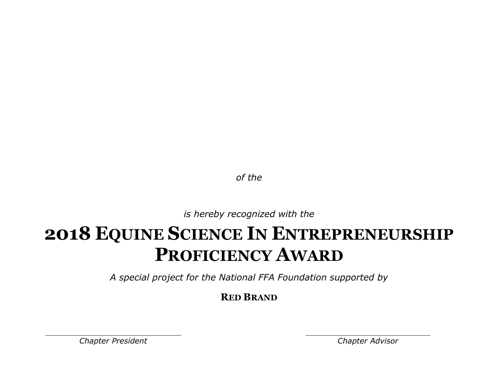*is hereby recognized with the*

## **2018 EQUINE SCIENCE IN ENTREPRENEURSHIP PROFICIENCY AWARD**

*A special project for the National FFA Foundation supported by*

**RED BRAND**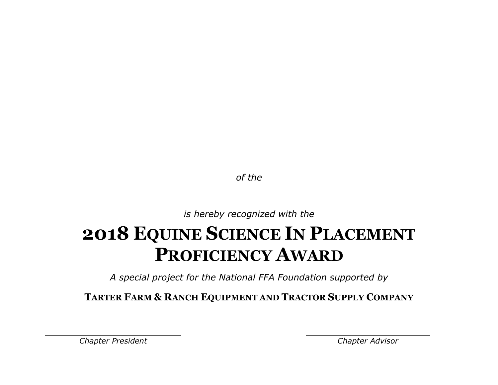*is hereby recognized with the*

## **2018 EQUINE SCIENCE IN PLACEMENT PROFICIENCY AWARD**

*A special project for the National FFA Foundation supported by*

**TARTER FARM & RANCH EQUIPMENT AND TRACTOR SUPPLY COMPANY**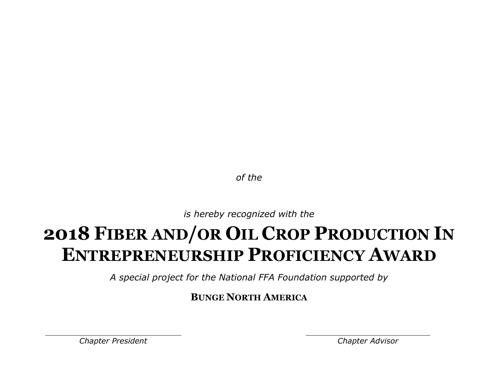*is hereby recognized with the*

# **2018 FIBER AND/OR OIL CROP PRODUCTION IN ENTREPRENEURSHIP PROFICIENCY AWARD**

*A special project for the National FFA Foundation supported by*

**BUNGE NORTH AMERICA**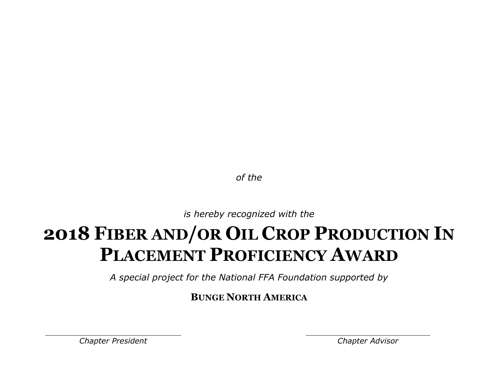*is hereby recognized with the*

# **2018 FIBER AND/OR OIL CROP PRODUCTION IN PLACEMENT PROFICIENCY AWARD**

*A special project for the National FFA Foundation supported by*

**BUNGE NORTH AMERICA**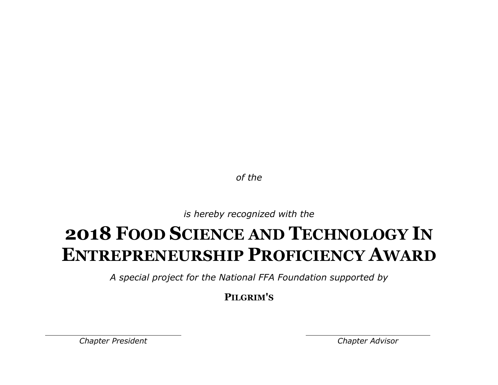*is hereby recognized with the*

### **2018 FOOD SCIENCE AND TECHNOLOGY IN ENTREPRENEURSHIP PROFICIENCY AWARD**

*A special project for the National FFA Foundation supported by*

**PILGRIM'S**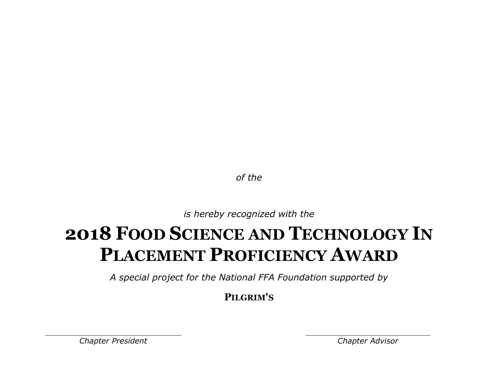*is hereby recognized with the*

## **2018 FOOD SCIENCE AND TECHNOLOGY IN PLACEMENT PROFICIENCY AWARD**

*A special project for the National FFA Foundation supported by*

**PILGRIM'S**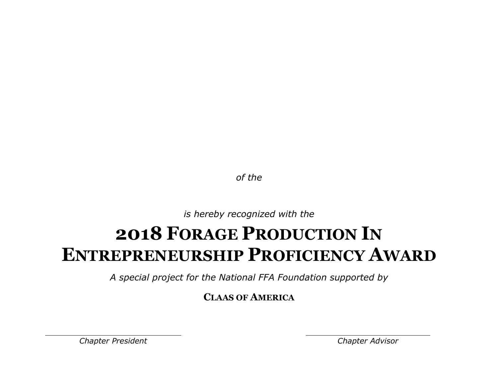*is hereby recognized with the*

#### **2018 FORAGE PRODUCTION IN ENTREPRENEURSHIP PROFICIENCY AWARD**

*A special project for the National FFA Foundation supported by*

**CLAAS OF AMERICA**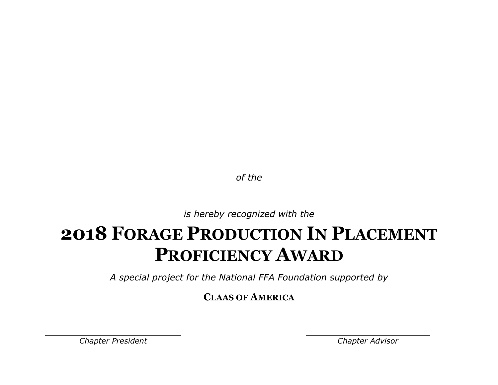*is hereby recognized with the*

### **2018 FORAGE PRODUCTION IN PLACEMENT PROFICIENCY AWARD**

*A special project for the National FFA Foundation supported by*

**CLAAS OF AMERICA**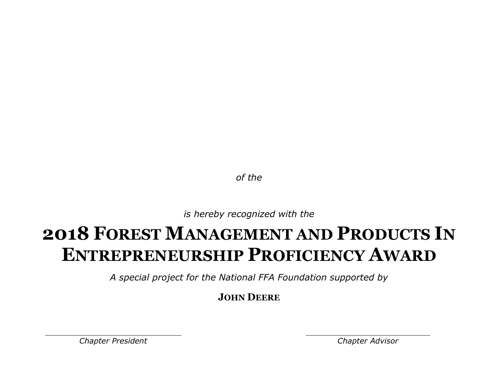*is hereby recognized with the*

### **2018 FOREST MANAGEMENT AND PRODUCTS IN ENTREPRENEURSHIP PROFICIENCY AWARD**

*A special project for the National FFA Foundation supported by*

**JOHN DEERE**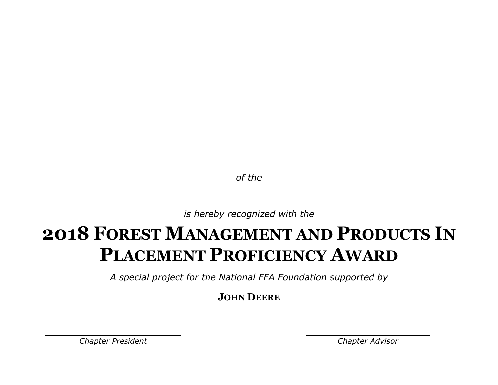*is hereby recognized with the*

## **2018 FOREST MANAGEMENT AND PRODUCTS IN PLACEMENT PROFICIENCY AWARD**

*A special project for the National FFA Foundation supported by*

**JOHN DEERE**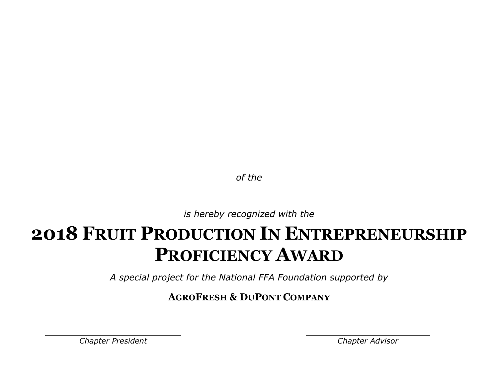*is hereby recognized with the*

### **2018 FRUIT PRODUCTION IN ENTREPRENEURSHIP PROFICIENCY AWARD**

*A special project for the National FFA Foundation supported by*

**AGROFRESH & DUPONT COMPANY**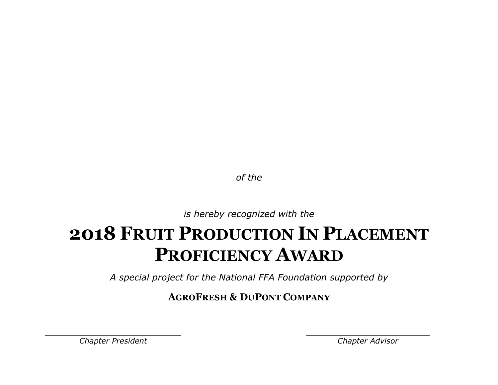*is hereby recognized with the*

### **2018 FRUIT PRODUCTION IN PLACEMENT PROFICIENCY AWARD**

*A special project for the National FFA Foundation supported by*

**AGROFRESH & DUPONT COMPANY**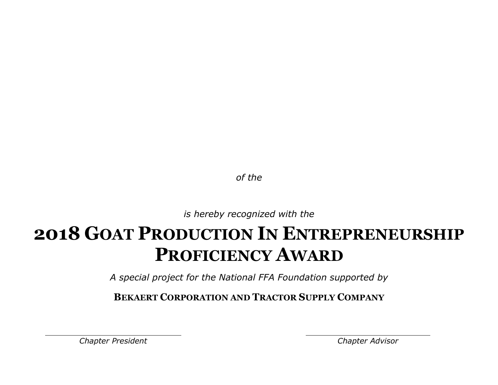*is hereby recognized with the*

### **2018 GOAT PRODUCTION IN ENTREPRENEURSHIP PROFICIENCY AWARD**

*A special project for the National FFA Foundation supported by*

**BEKAERT CORPORATION AND TRACTOR SUPPLY COMPANY**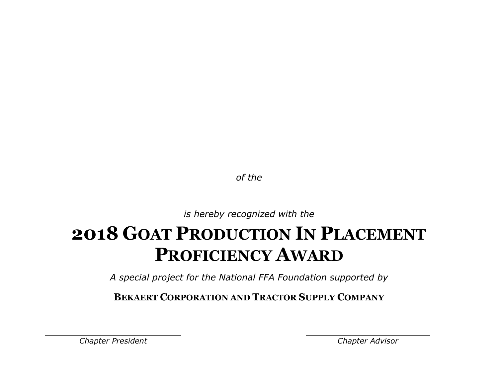*is hereby recognized with the*

## **2018 GOAT PRODUCTION IN PLACEMENT PROFICIENCY AWARD**

*A special project for the National FFA Foundation supported by*

**BEKAERT CORPORATION AND TRACTOR SUPPLY COMPANY**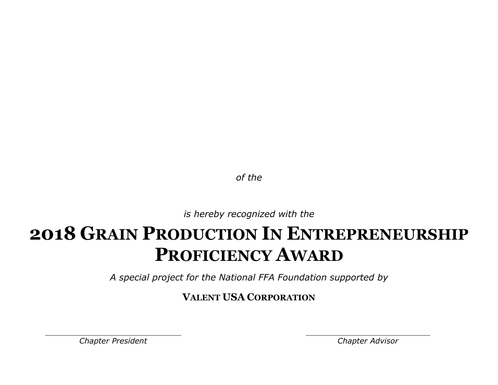*is hereby recognized with the*

## **2018 GRAIN PRODUCTION IN ENTREPRENEURSHIP PROFICIENCY AWARD**

*A special project for the National FFA Foundation supported by*

**VALENT USA CORPORATION**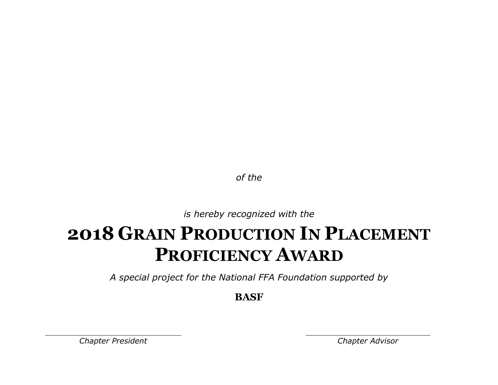*is hereby recognized with the*

## **2018 GRAIN PRODUCTION IN PLACEMENT PROFICIENCY AWARD**

*A special project for the National FFA Foundation supported by*

**BASF**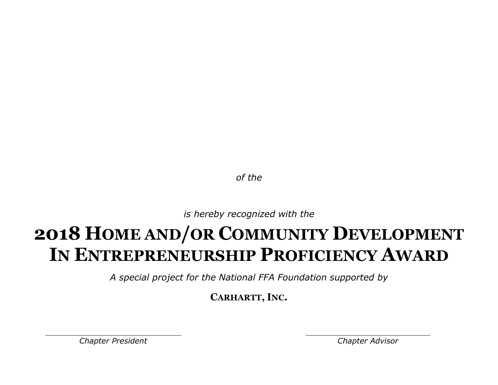*is hereby recognized with the*

## **2018 HOME AND/OR COMMUNITY DEVELOPMENT IN ENTREPRENEURSHIP PROFICIENCY AWARD**

*A special project for the National FFA Foundation supported by*

**CARHARTT, INC.**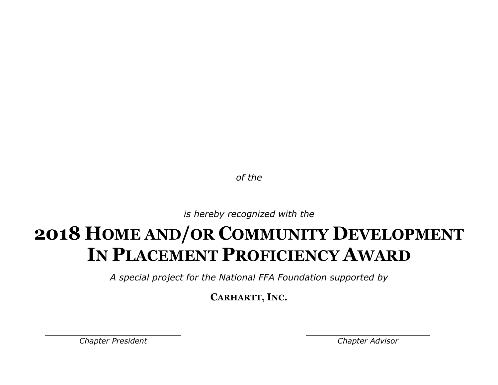*is hereby recognized with the*

## **2018 HOME AND/OR COMMUNITY DEVELOPMENT IN PLACEMENT PROFICIENCY AWARD**

*A special project for the National FFA Foundation supported by*

**CARHARTT, INC.**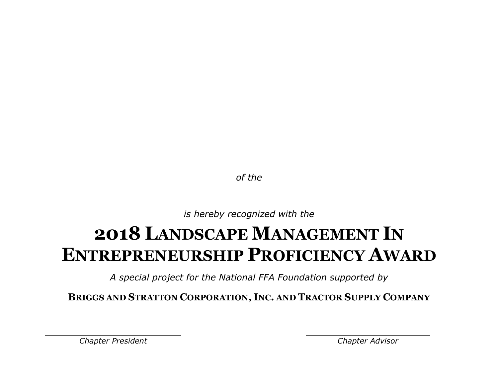*is hereby recognized with the*

#### **2018 LANDSCAPE MANAGEMENT IN ENTREPRENEURSHIP PROFICIENCY AWARD**

*A special project for the National FFA Foundation supported by*

**BRIGGS AND STRATTON CORPORATION, INC. AND TRACTOR SUPPLY COMPANY**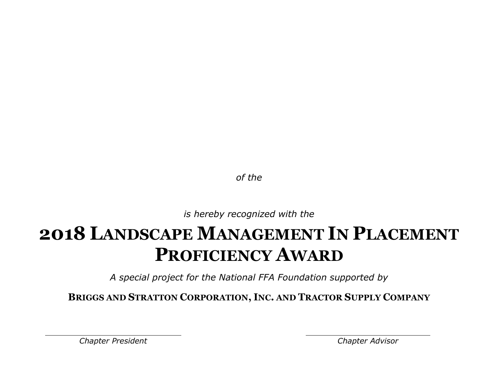*is hereby recognized with the*

### **2018 LANDSCAPE MANAGEMENT IN PLACEMENT PROFICIENCY AWARD**

*A special project for the National FFA Foundation supported by*

**BRIGGS AND STRATTON CORPORATION, INC. AND TRACTOR SUPPLY COMPANY**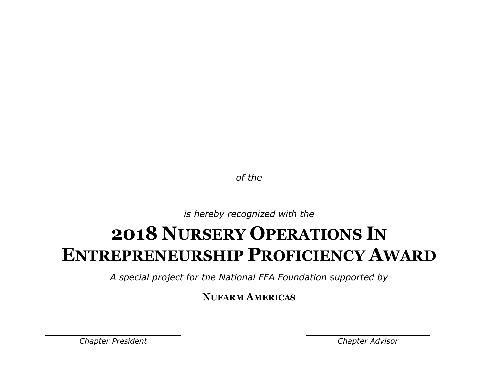*is hereby recognized with the*

#### **2018 NURSERY OPERATIONS IN ENTREPRENEURSHIP PROFICIENCY AWARD**

*A special project for the National FFA Foundation supported by*

**NUFARM AMERICAS**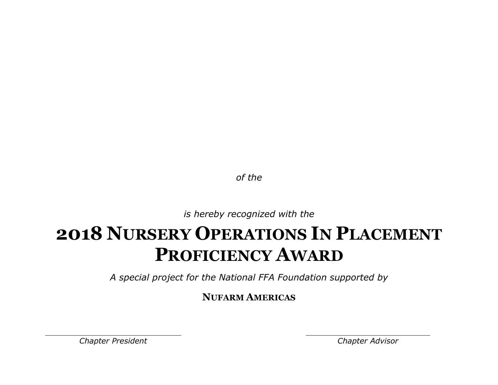*is hereby recognized with the*

## **2018 NURSERY OPERATIONS IN PLACEMENT PROFICIENCY AWARD**

*A special project for the National FFA Foundation supported by*

**NUFARM AMERICAS**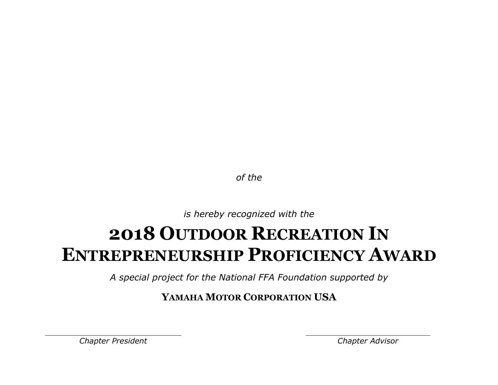*is hereby recognized with the*

#### **2018 OUTDOOR RECREATION IN ENTREPRENEURSHIP PROFICIENCY AWARD**

*A special project for the National FFA Foundation supported by*

**YAMAHA MOTOR CORPORATION USA**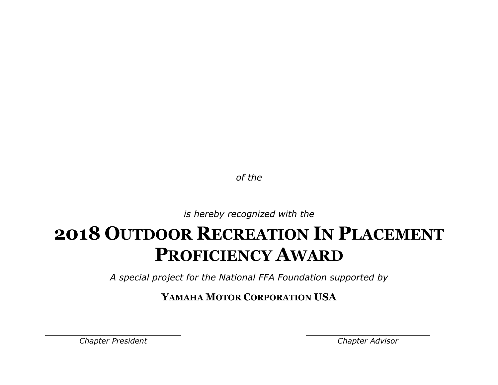*is hereby recognized with the*

### **2018 OUTDOOR RECREATION IN PLACEMENT PROFICIENCY AWARD**

*A special project for the National FFA Foundation supported by*

**YAMAHA MOTOR CORPORATION USA**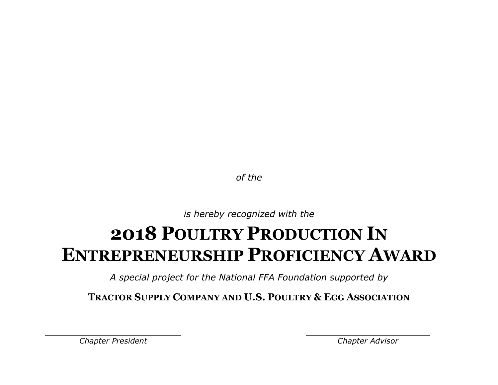*is hereby recognized with the*

### **2018 POULTRY PRODUCTION IN ENTREPRENEURSHIP PROFICIENCY AWARD**

*A special project for the National FFA Foundation supported by*

**TRACTOR SUPPLY COMPANY AND U.S. POULTRY & EGG ASSOCIATION**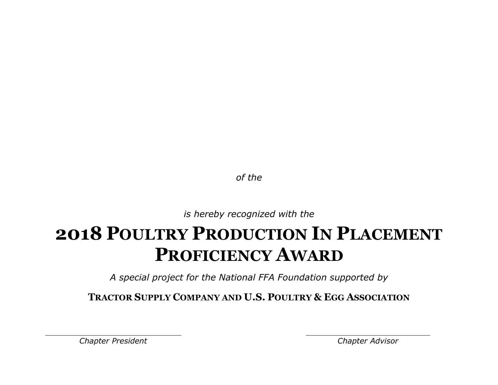*is hereby recognized with the*

### **2018 POULTRY PRODUCTION IN PLACEMENT PROFICIENCY AWARD**

*A special project for the National FFA Foundation supported by*

**TRACTOR SUPPLY COMPANY AND U.S. POULTRY & EGG ASSOCIATION**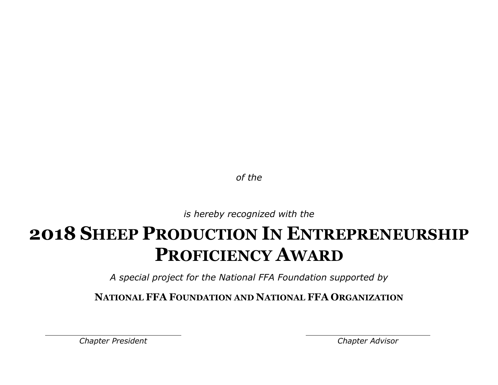*is hereby recognized with the*

### **2018 SHEEP PRODUCTION IN ENTREPRENEURSHIP PROFICIENCY AWARD**

*A special project for the National FFA Foundation supported by*

**NATIONAL FFA FOUNDATION AND NATIONAL FFA ORGANIZATION**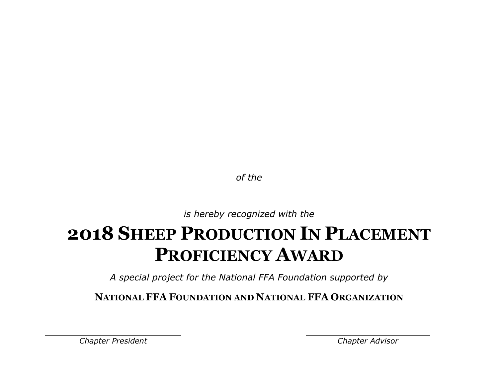*is hereby recognized with the*

# **2018 SHEEP PRODUCTION IN PLACEMENT PROFICIENCY AWARD**

*A special project for the National FFA Foundation supported by*

**NATIONAL FFA FOUNDATION AND NATIONAL FFA ORGANIZATION**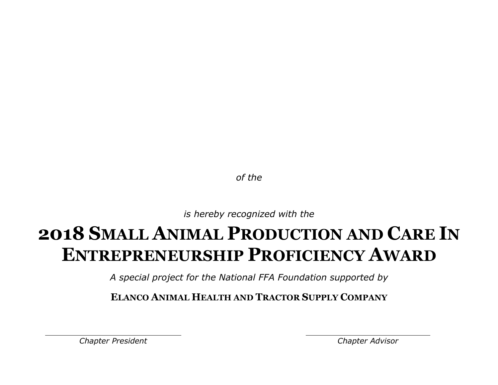*is hereby recognized with the*

## **2018 SMALL ANIMAL PRODUCTION AND CARE IN ENTREPRENEURSHIP PROFICIENCY AWARD**

*A special project for the National FFA Foundation supported by*

**ELANCO ANIMAL HEALTH AND TRACTOR SUPPLY COMPANY**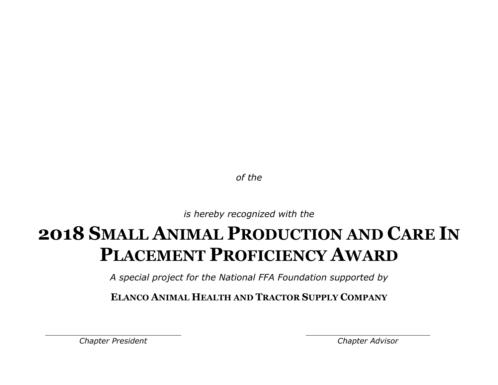*is hereby recognized with the*

## **2018 SMALL ANIMAL PRODUCTION AND CARE IN PLACEMENT PROFICIENCY AWARD**

*A special project for the National FFA Foundation supported by*

**ELANCO ANIMAL HEALTH AND TRACTOR SUPPLY COMPANY**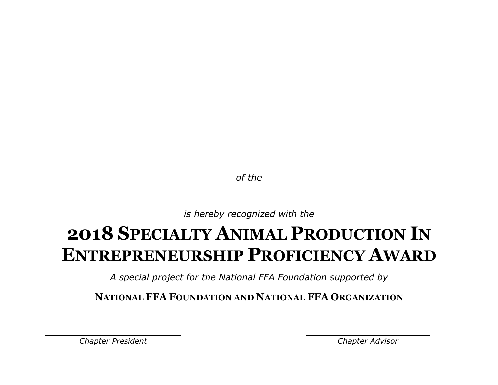*is hereby recognized with the*

## **2018 SPECIALTY ANIMAL PRODUCTION IN ENTREPRENEURSHIP PROFICIENCY AWARD**

*A special project for the National FFA Foundation supported by*

**NATIONAL FFA FOUNDATION AND NATIONAL FFA ORGANIZATION**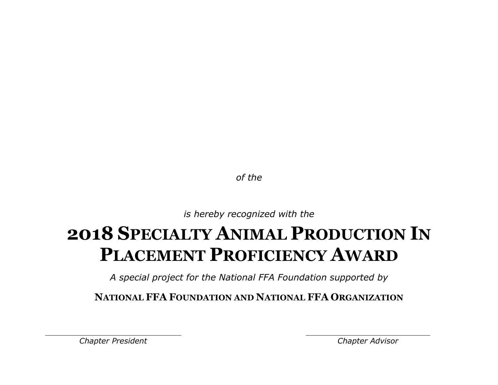*is hereby recognized with the*

## **2018 SPECIALTY ANIMAL PRODUCTION IN PLACEMENT PROFICIENCY AWARD**

*A special project for the National FFA Foundation supported by*

**NATIONAL FFA FOUNDATION AND NATIONAL FFA ORGANIZATION**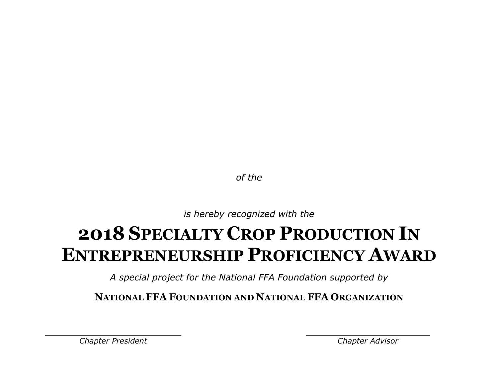*is hereby recognized with the*

### **2018 SPECIALTY CROP PRODUCTION IN ENTREPRENEURSHIP PROFICIENCY AWARD**

*A special project for the National FFA Foundation supported by*

**NATIONAL FFA FOUNDATION AND NATIONAL FFA ORGANIZATION**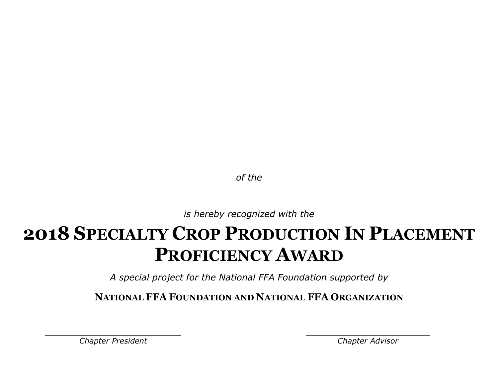*is hereby recognized with the*

### **2018 SPECIALTY CROP PRODUCTION IN PLACEMENT PROFICIENCY AWARD**

*A special project for the National FFA Foundation supported by*

**NATIONAL FFA FOUNDATION AND NATIONAL FFA ORGANIZATION**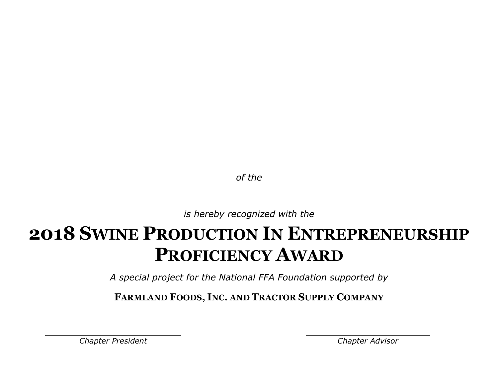*is hereby recognized with the*

### **2018 SWINE PRODUCTION IN ENTREPRENEURSHIP PROFICIENCY AWARD**

*A special project for the National FFA Foundation supported by*

**FARMLAND FOODS, INC. AND TRACTOR SUPPLY COMPANY**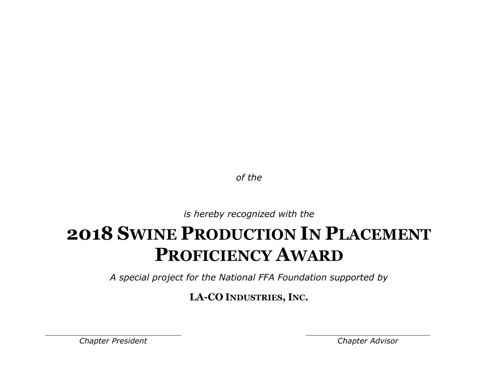*is hereby recognized with the*

## **2018 SWINE PRODUCTION IN PLACEMENT PROFICIENCY AWARD**

*A special project for the National FFA Foundation supported by*

**LA-CO INDUSTRIES, INC.**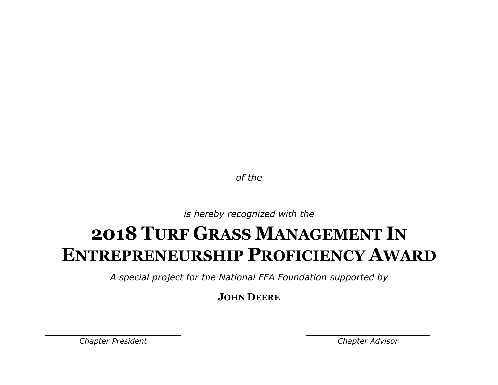*is hereby recognized with the*

### **2018 TURF GRASS MANAGEMENT IN ENTREPRENEURSHIP PROFICIENCY AWARD**

*A special project for the National FFA Foundation supported by*

**JOHN DEERE**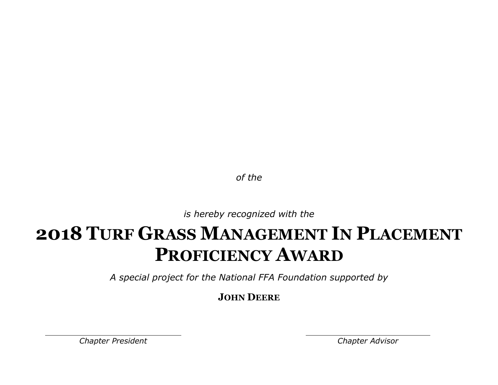*is hereby recognized with the*

# **2018 TURF GRASS MANAGEMENT IN PLACEMENT PROFICIENCY AWARD**

*A special project for the National FFA Foundation supported by*

**JOHN DEERE**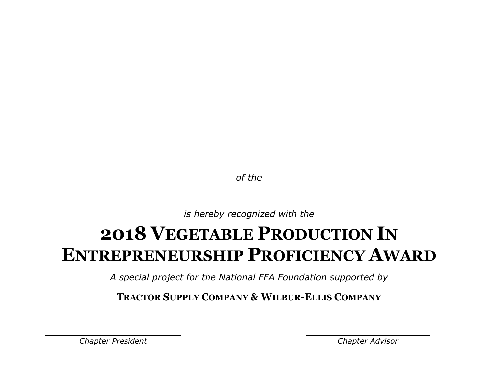*is hereby recognized with the*

### **2018 VEGETABLE PRODUCTION IN ENTREPRENEURSHIP PROFICIENCY AWARD**

*A special project for the National FFA Foundation supported by*

**TRACTOR SUPPLY COMPANY & WILBUR-ELLIS COMPANY**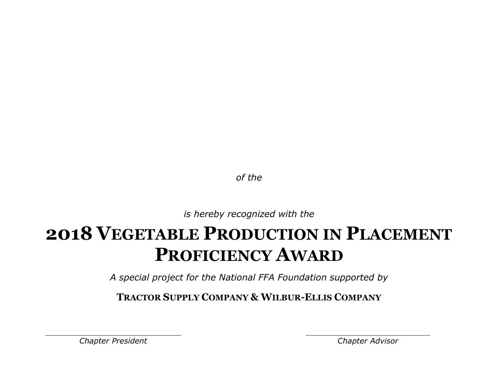*is hereby recognized with the*

# **2018 VEGETABLE PRODUCTION IN PLACEMENT PROFICIENCY AWARD**

*A special project for the National FFA Foundation supported by*

**TRACTOR SUPPLY COMPANY & WILBUR-ELLIS COMPANY**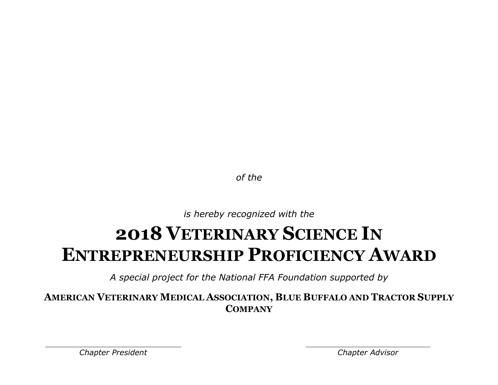*is hereby recognized with the*

### **2018 VETERINARY SCIENCE IN ENTREPRENEURSHIP PROFICIENCY AWARD**

*A special project for the National FFA Foundation supported by*

**AMERICAN VETERINARY MEDICAL ASSOCIATION, BLUE BUFFALO AND TRACTOR SUPPLY COMPANY**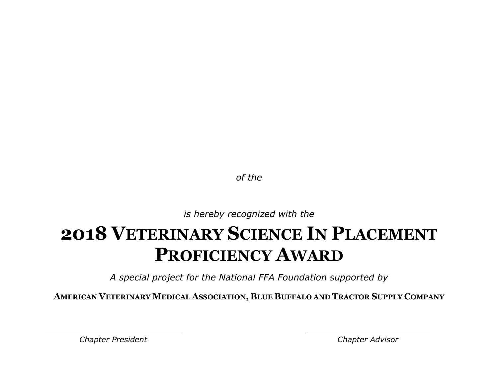*is hereby recognized with the*

# **2018 VETERINARY SCIENCE IN PLACEMENT PROFICIENCY AWARD**

*A special project for the National FFA Foundation supported by*

**AMERICAN VETERINARY MEDICAL ASSOCIATION, BLUE BUFFALO AND TRACTOR SUPPLY COMPANY**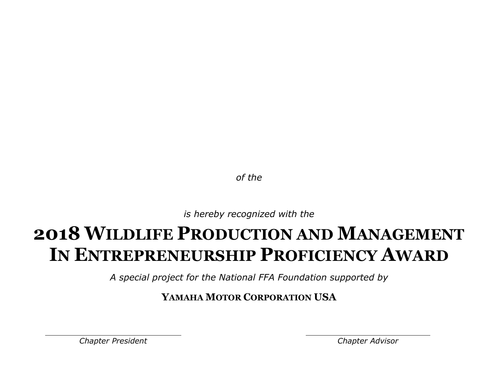*is hereby recognized with the*

# **2018 WILDLIFE PRODUCTION AND MANAGEMENT IN ENTREPRENEURSHIP PROFICIENCY AWARD**

*A special project for the National FFA Foundation supported by*

**YAMAHA MOTOR CORPORATION USA**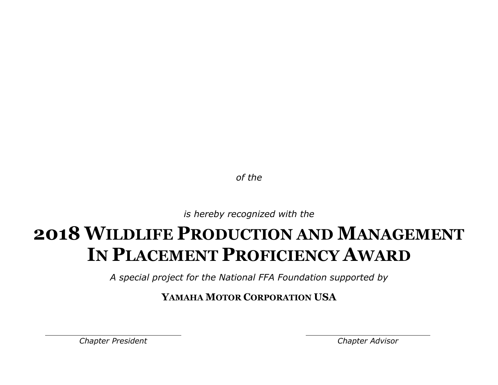*is hereby recognized with the*

# **2018 WILDLIFE PRODUCTION AND MANAGEMENT IN PLACEMENT PROFICIENCY AWARD**

*A special project for the National FFA Foundation supported by*

**YAMAHA MOTOR CORPORATION USA**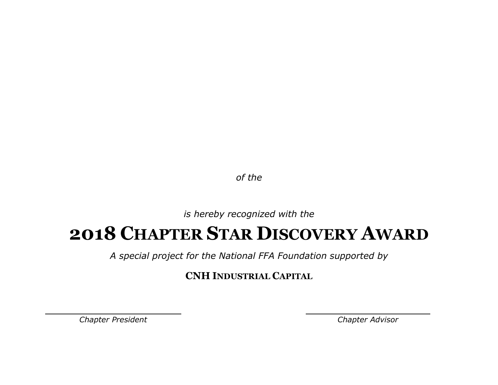*is hereby recognized with the*

#### **2018 CHAPTER STAR DISCOVERY AWARD**

*A special project for the National FFA Foundation supported by*

**CNH INDUSTRIAL CAPITAL**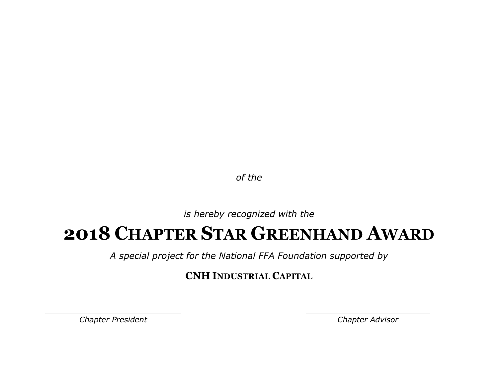*is hereby recognized with the*

### **2018 CHAPTER STAR GREENHAND AWARD**

*A special project for the National FFA Foundation supported by*

**CNH INDUSTRIAL CAPITAL**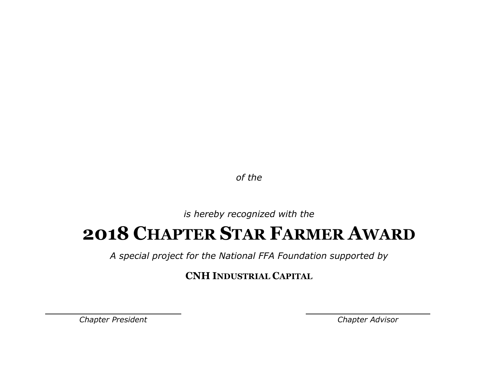*is hereby recognized with the*

### **2018 CHAPTER STAR FARMER AWARD**

*A special project for the National FFA Foundation supported by*

**CNH INDUSTRIAL CAPITAL**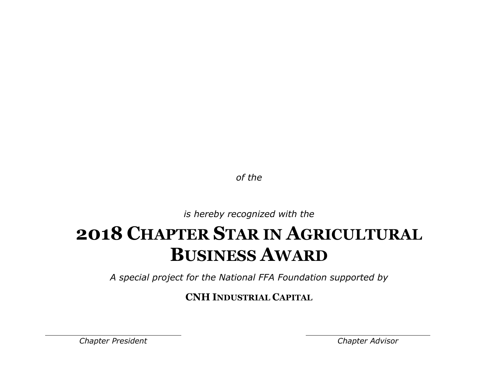*is hereby recognized with the*

# **2018 CHAPTER STAR IN AGRICULTURAL BUSINESS AWARD**

*A special project for the National FFA Foundation supported by*

**CNH INDUSTRIAL CAPITAL**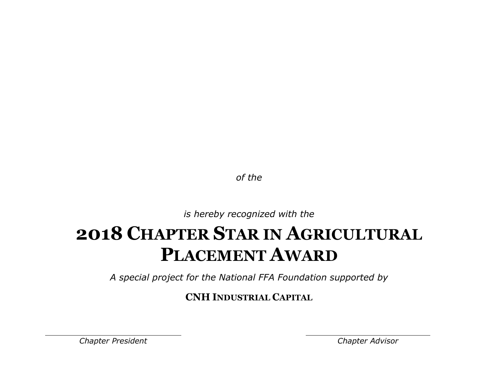*is hereby recognized with the*

# **2018 CHAPTER STAR IN AGRICULTURAL PLACEMENT AWARD**

*A special project for the National FFA Foundation supported by*

**CNH INDUSTRIAL CAPITAL**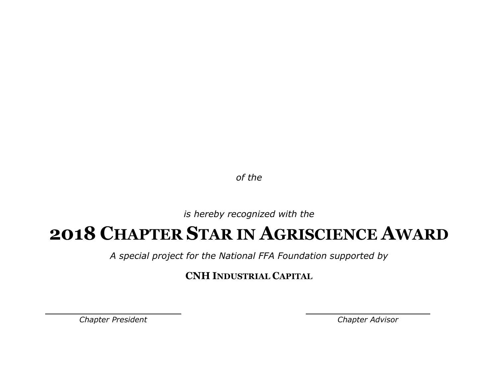*is hereby recognized with the*

#### **2018 CHAPTER STAR IN AGRISCIENCE AWARD**

*A special project for the National FFA Foundation supported by*

**CNH INDUSTRIAL CAPITAL**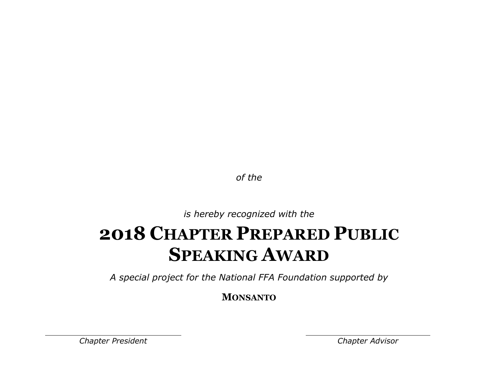*is hereby recognized with the*

### **2018 CHAPTER PREPARED PUBLIC SPEAKING AWARD**

*A special project for the National FFA Foundation supported by*

**MONSANTO**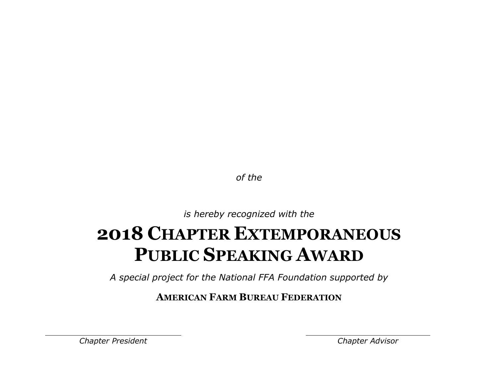*is hereby recognized with the*

# **2018 CHAPTER EXTEMPORANEOUS PUBLIC SPEAKING AWARD**

*A special project for the National FFA Foundation supported by*

**AMERICAN FARM BUREAU FEDERATION**